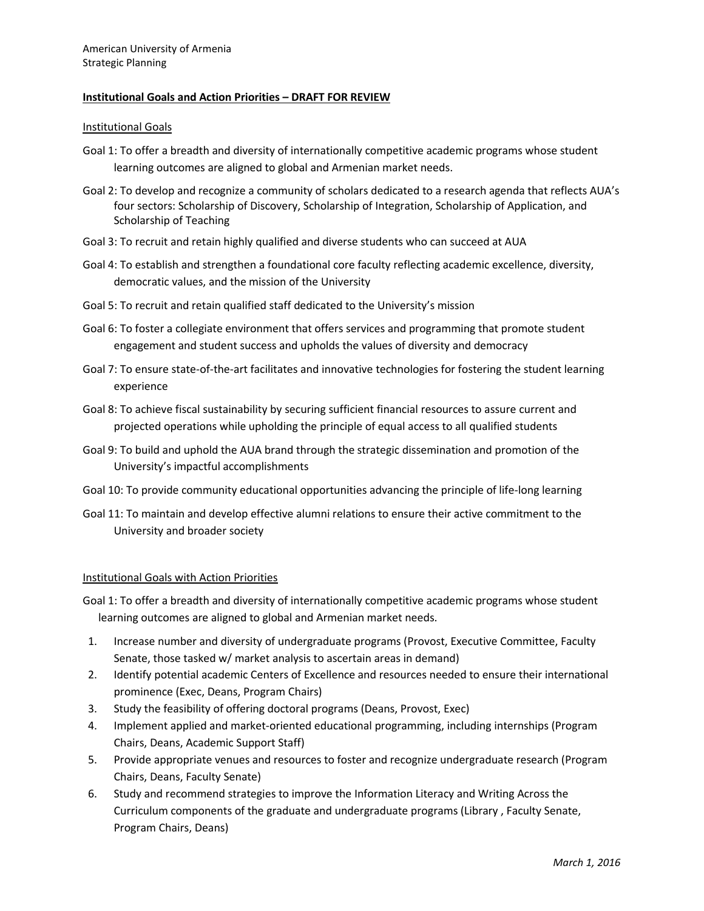#### Institutional Goals

- Goal 1: To offer a breadth and diversity of internationally competitive academic programs whose student learning outcomes are aligned to global and Armenian market needs.
- Goal 2: To develop and recognize a community of scholars dedicated to a research agenda that reflects AUA's four sectors: Scholarship of Discovery, Scholarship of Integration, Scholarship of Application, and Scholarship of Teaching
- Goal 3: To recruit and retain highly qualified and diverse students who can succeed at AUA
- Goal 4: To establish and strengthen a foundational core faculty reflecting academic excellence, diversity, democratic values, and the mission of the University
- Goal 5: To recruit and retain qualified staff dedicated to the University's mission
- Goal 6: To foster a collegiate environment that offers services and programming that promote student engagement and student success and upholds the values of diversity and democracy
- Goal 7: To ensure state-of-the-art facilitates and innovative technologies for fostering the student learning experience
- Goal 8: To achieve fiscal sustainability by securing sufficient financial resources to assure current and projected operations while upholding the principle of equal access to all qualified students
- Goal 9: To build and uphold the AUA brand through the strategic dissemination and promotion of the University's impactful accomplishments
- Goal 10: To provide community educational opportunities advancing the principle of life-long learning
- Goal 11: To maintain and develop effective alumni relations to ensure their active commitment to the University and broader society

#### Institutional Goals with Action Priorities

- Goal 1: To offer a breadth and diversity of internationally competitive academic programs whose student learning outcomes are aligned to global and Armenian market needs.
- 1. Increase number and diversity of undergraduate programs (Provost, Executive Committee, Faculty Senate, those tasked w/ market analysis to ascertain areas in demand)
- 2. Identify potential academic Centers of Excellence and resources needed to ensure their international prominence (Exec, Deans, Program Chairs)
- 3. Study the feasibility of offering doctoral programs (Deans, Provost, Exec)
- 4. Implement applied and market-oriented educational programming, including internships (Program Chairs, Deans, Academic Support Staff)
- 5. Provide appropriate venues and resources to foster and recognize undergraduate research (Program Chairs, Deans, Faculty Senate)
- 6. Study and recommend strategies to improve the Information Literacy and Writing Across the Curriculum components of the graduate and undergraduate programs (Library , Faculty Senate, Program Chairs, Deans)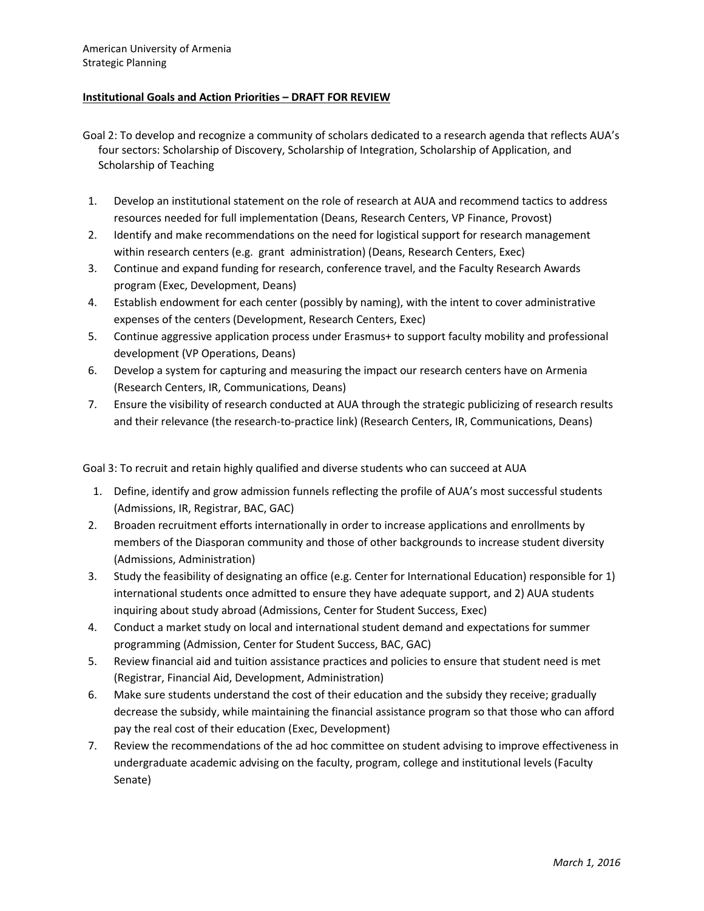- Goal 2: To develop and recognize a community of scholars dedicated to a research agenda that reflects AUA's four sectors: Scholarship of Discovery, Scholarship of Integration, Scholarship of Application, and Scholarship of Teaching
- 1. Develop an institutional statement on the role of research at AUA and recommend tactics to address resources needed for full implementation (Deans, Research Centers, VP Finance, Provost)
- 2. Identify and make recommendations on the need for logistical support for research management within research centers (e.g. grant administration) (Deans, Research Centers, Exec)
- 3. Continue and expand funding for research, conference travel, and the Faculty Research Awards program (Exec, Development, Deans)
- 4. Establish endowment for each center (possibly by naming), with the intent to cover administrative expenses of the centers (Development, Research Centers, Exec)
- 5. Continue aggressive application process under Erasmus+ to support faculty mobility and professional development (VP Operations, Deans)
- 6. Develop a system for capturing and measuring the impact our research centers have on Armenia (Research Centers, IR, Communications, Deans)
- 7. Ensure the visibility of research conducted at AUA through the strategic publicizing of research results and their relevance (the research-to-practice link) (Research Centers, IR, Communications, Deans)

Goal 3: To recruit and retain highly qualified and diverse students who can succeed at AUA

- 1. Define, identify and grow admission funnels reflecting the profile of AUA's most successful students (Admissions, IR, Registrar, BAC, GAC)
- 2. Broaden recruitment efforts internationally in order to increase applications and enrollments by members of the Diasporan community and those of other backgrounds to increase student diversity (Admissions, Administration)
- 3. Study the feasibility of designating an office (e.g. Center for International Education) responsible for 1) international students once admitted to ensure they have adequate support, and 2) AUA students inquiring about study abroad (Admissions, Center for Student Success, Exec)
- 4. Conduct a market study on local and international student demand and expectations for summer programming (Admission, Center for Student Success, BAC, GAC)
- 5. Review financial aid and tuition assistance practices and policies to ensure that student need is met (Registrar, Financial Aid, Development, Administration)
- 6. Make sure students understand the cost of their education and the subsidy they receive; gradually decrease the subsidy, while maintaining the financial assistance program so that those who can afford pay the real cost of their education (Exec, Development)
- 7. Review the recommendations of the ad hoc committee on student advising to improve effectiveness in undergraduate academic advising on the faculty, program, college and institutional levels (Faculty Senate)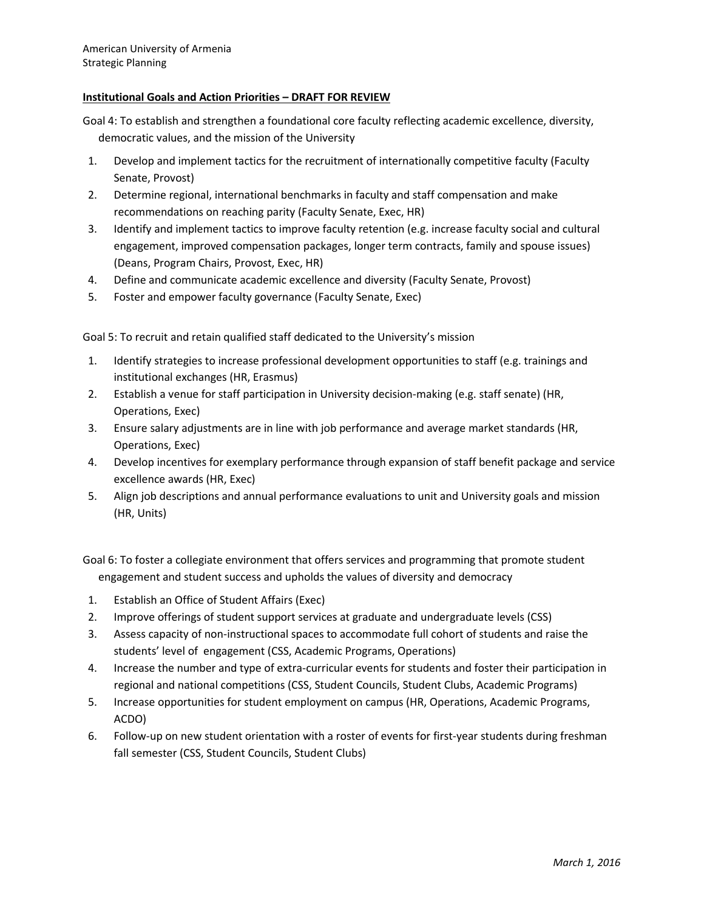- Goal 4: To establish and strengthen a foundational core faculty reflecting academic excellence, diversity, democratic values, and the mission of the University
- 1. Develop and implement tactics for the recruitment of internationally competitive faculty (Faculty Senate, Provost)
- 2. Determine regional, international benchmarks in faculty and staff compensation and make recommendations on reaching parity (Faculty Senate, Exec, HR)
- 3. Identify and implement tactics to improve faculty retention (e.g. increase faculty social and cultural engagement, improved compensation packages, longer term contracts, family and spouse issues) (Deans, Program Chairs, Provost, Exec, HR)
- 4. Define and communicate academic excellence and diversity (Faculty Senate, Provost)
- 5. Foster and empower faculty governance (Faculty Senate, Exec)

Goal 5: To recruit and retain qualified staff dedicated to the University's mission

- 1. Identify strategies to increase professional development opportunities to staff (e.g. trainings and institutional exchanges (HR, Erasmus)
- 2. Establish a venue for staff participation in University decision-making (e.g. staff senate) (HR, Operations, Exec)
- 3. Ensure salary adjustments are in line with job performance and average market standards (HR, Operations, Exec)
- 4. Develop incentives for exemplary performance through expansion of staff benefit package and service excellence awards (HR, Exec)
- 5. Align job descriptions and annual performance evaluations to unit and University goals and mission (HR, Units)

Goal 6: To foster a collegiate environment that offers services and programming that promote student engagement and student success and upholds the values of diversity and democracy

- 1. Establish an Office of Student Affairs (Exec)
- 2. Improve offerings of student support services at graduate and undergraduate levels (CSS)
- 3. Assess capacity of non-instructional spaces to accommodate full cohort of students and raise the students' level of engagement (CSS, Academic Programs, Operations)
- 4. Increase the number and type of extra-curricular events for students and foster their participation in regional and national competitions (CSS, Student Councils, Student Clubs, Academic Programs)
- 5. Increase opportunities for student employment on campus (HR, Operations, Academic Programs, ACDO)
- 6. Follow-up on new student orientation with a roster of events for first-year students during freshman fall semester (CSS, Student Councils, Student Clubs)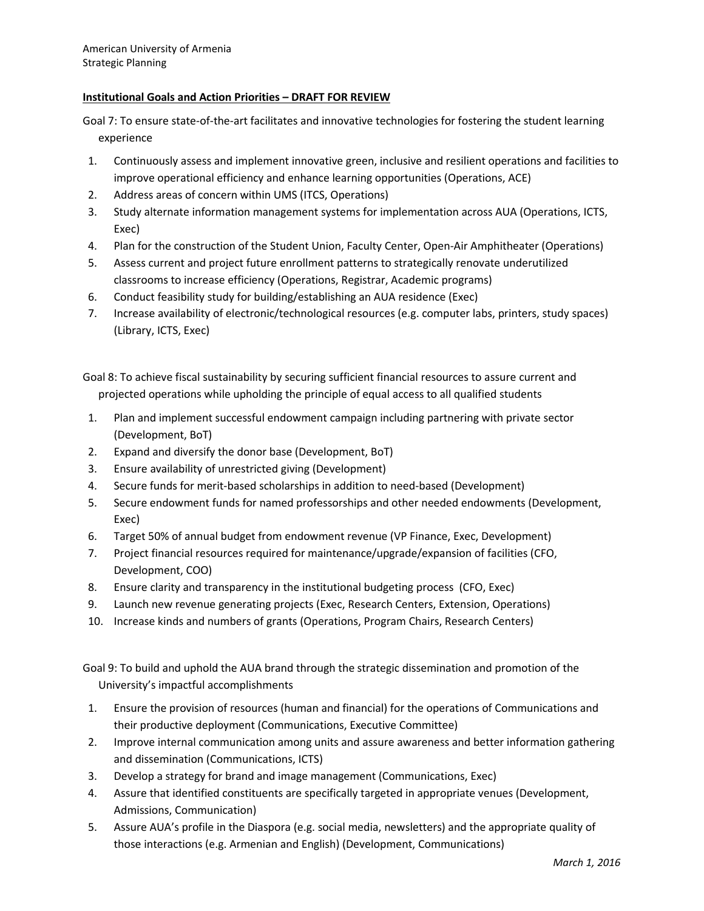Goal 7: To ensure state-of-the-art facilitates and innovative technologies for fostering the student learning experience

- 1. Continuously assess and implement innovative green, inclusive and resilient operations and facilities to improve operational efficiency and enhance learning opportunities (Operations, ACE)
- 2. Address areas of concern within UMS (ITCS, Operations)
- 3. Study alternate information management systems for implementation across AUA (Operations, ICTS, Exec)
- 4. Plan for the construction of the Student Union, Faculty Center, Open-Air Amphitheater (Operations)
- 5. Assess current and project future enrollment patterns to strategically renovate underutilized classrooms to increase efficiency (Operations, Registrar, Academic programs)
- 6. Conduct feasibility study for building/establishing an AUA residence (Exec)
- 7. Increase availability of electronic/technological resources (e.g. computer labs, printers, study spaces) (Library, ICTS, Exec)

Goal 8: To achieve fiscal sustainability by securing sufficient financial resources to assure current and projected operations while upholding the principle of equal access to all qualified students

- 1. Plan and implement successful endowment campaign including partnering with private sector (Development, BoT)
- 2. Expand and diversify the donor base (Development, BoT)
- 3. Ensure availability of unrestricted giving (Development)
- 4. Secure funds for merit-based scholarships in addition to need-based (Development)
- 5. Secure endowment funds for named professorships and other needed endowments (Development, Exec)
- 6. Target 50% of annual budget from endowment revenue (VP Finance, Exec, Development)
- 7. Project financial resources required for maintenance/upgrade/expansion of facilities (CFO, Development, COO)
- 8. Ensure clarity and transparency in the institutional budgeting process (CFO, Exec)
- 9. Launch new revenue generating projects (Exec, Research Centers, Extension, Operations)
- 10. Increase kinds and numbers of grants (Operations, Program Chairs, Research Centers)

Goal 9: To build and uphold the AUA brand through the strategic dissemination and promotion of the University's impactful accomplishments

- 1. Ensure the provision of resources (human and financial) for the operations of Communications and their productive deployment (Communications, Executive Committee)
- 2. Improve internal communication among units and assure awareness and better information gathering and dissemination (Communications, ICTS)
- 3. Develop a strategy for brand and image management (Communications, Exec)
- 4. Assure that identified constituents are specifically targeted in appropriate venues (Development, Admissions, Communication)
- 5. Assure AUA's profile in the Diaspora (e.g. social media, newsletters) and the appropriate quality of those interactions (e.g. Armenian and English) (Development, Communications)